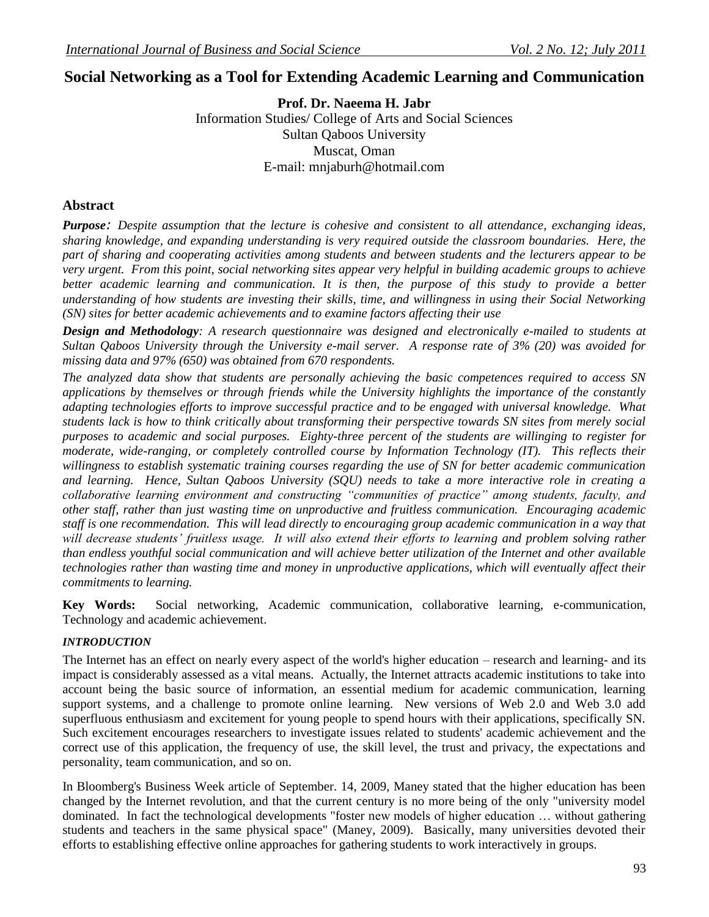# **Social Networking as a Tool for Extending Academic Learning and Communication**

**Prof. Dr. Naeema H. Jabr** Information Studies/ College of Arts and Social Sciences Sultan Qaboos University Muscat, Oman E-mail: mnjaburh@hotmail.com

## **Abstract**

*Purpose: Despite assumption that the lecture is cohesive and consistent to all attendance, exchanging ideas, sharing knowledge, and expanding understanding is very required outside the classroom boundaries. Here, the part of sharing and cooperating activities among students and between students and the lecturers appear to be very urgent. From this point, social networking sites appear very helpful in building academic groups to achieve better academic learning and communication. It is then, the purpose of this study to provide a better understanding of how students are investing their skills, time, and willingness in using their Social Networking (SN) sites for better academic achievements and to examine factors affecting their use*

*Design and Methodology: A research questionnaire was designed and electronically e-mailed to students at Sultan Qaboos University through the University e-mail server. A response rate of 3% (20) was avoided for missing data and 97% (650) was obtained from 670 respondents.*

*The analyzed data show that students are personally achieving the basic competences required to access SN applications by themselves or through friends while the University highlights the importance of the constantly adapting technologies efforts to improve successful practice and to be engaged with universal knowledge. What students lack is how to think critically about transforming their perspective towards SN sites from merely social purposes to academic and social purposes. Eighty-three percent of the students are willinging to register for moderate, wide-ranging, or completely controlled course by Information Technology (IT). This reflects their willingness to establish systematic training courses regarding the use of SN for better academic communication and learning. Hence, Sultan Qaboos University (SQU) needs to take a more interactive role in creating a collaborative learning environment and constructing "communities of practice" among students, faculty, and other staff, rather than just wasting time on unproductive and fruitless communication. Encouraging academic staff is one recommendation. This will lead directly to encouraging group academic communication in a way that will decrease students' fruitless usage. It will also extend their efforts to learning and problem solving rather than endless youthful social communication and will achieve better utilization of the Internet and other available technologies rather than wasting time and money in unproductive applications, which will eventually affect their commitments to learning.*

**Key Words:** Social networking, Academic communication, collaborative learning, e-communication, Technology and academic achievement.

#### *INTRODUCTION*

The Internet has an effect on nearly every aspect of the world's higher education – research and learning- and its impact is considerably assessed as a vital means. Actually, the Internet attracts academic institutions to take into account being the basic source of information, an essential medium for academic communication, learning support systems, and a challenge to promote online learning. New versions of Web 2.0 and Web 3.0 add superfluous enthusiasm and excitement for young people to spend hours with their applications, specifically SN. Such excitement encourages researchers to investigate issues related to students' academic achievement and the correct use of this application, the frequency of use, the skill level, the trust and privacy, the expectations and personality, team communication, and so on.

In Bloomberg's Business Week article of September. 14, 2009, Maney stated that the higher education has been changed by the Internet revolution, and that the current century is no more being of the only "university model dominated. In fact the technological developments "foster new models of higher education … without gathering students and teachers in the same physical space" (Maney, 2009). Basically, many universities devoted their efforts to establishing effective online approaches for gathering students to work interactively in groups.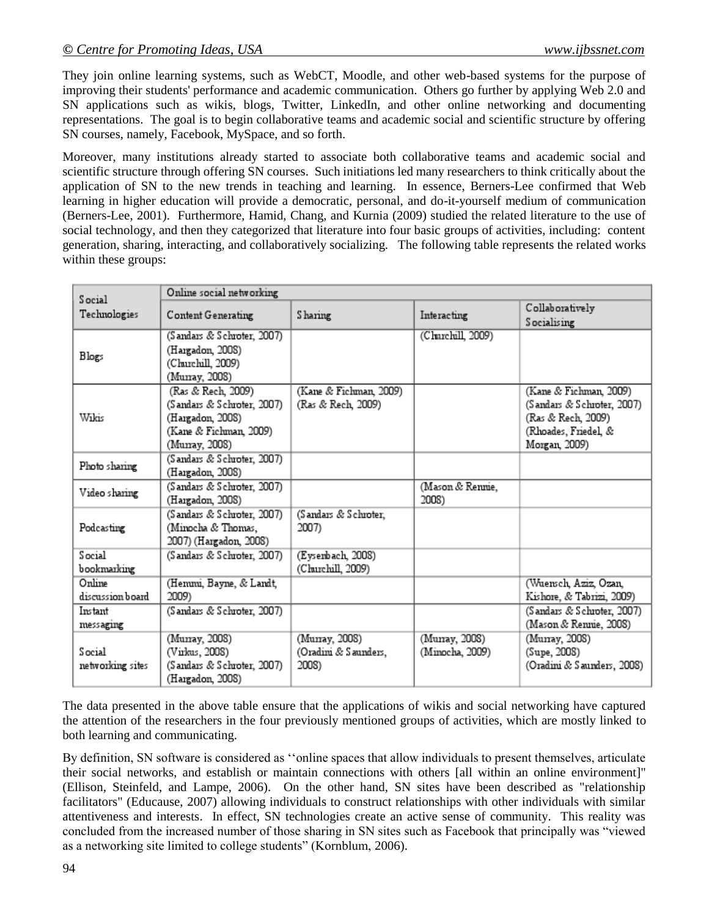They join online learning systems, such as WebCT, Moodle, and other web-based systems for the purpose of improving their students' performance and academic communication. Others go further by applying Web 2.0 and SN applications such as wikis, blogs, Twitter, LinkedIn, and other online networking and documenting representations. The goal is to begin collaborative teams and academic social and scientific structure by offering SN courses, namely, Facebook, MySpace, and so forth.

Moreover, many institutions already started to associate both collaborative teams and academic social and scientific structure through offering SN courses. Such initiations led many researchers to think critically about the application of SN to the new trends in teaching and learning. In essence, Berners-Lee confirmed that Web learning in higher education will provide a democratic, personal, and do-it-yourself medium of communication (Berners-Lee, 2001). Furthermore, Hamid, Chang, and Kurnia (2009) studied the related literature to the use of social technology, and then they categorized that literature into four basic groups of activities, including: content generation, sharing, interacting, and collaboratively socializing. The following table represents the related works within these groups:

| Social                     | Online social networking                                                                                         |                                                 |                                  |                                                                                                                     |  |
|----------------------------|------------------------------------------------------------------------------------------------------------------|-------------------------------------------------|----------------------------------|---------------------------------------------------------------------------------------------------------------------|--|
| Technologies               | Content Generating                                                                                               | Sharing                                         | Interacting                      | Collaboratively<br>Socialising                                                                                      |  |
| Blogs                      | (Sandars & Schroter, 2007)<br>(Hargadon, 2008)<br>(Churchill, 2009)<br>(Murray, 2008)                            |                                                 | (Churchill, 2009)                |                                                                                                                     |  |
| Wikis                      | (Ras & Rech, 2009)<br>(Sandars & Schroter, 2007)<br>(Hargadon, 2008)<br>(Kane & Fichman, 2009)<br>(Murray, 2008) | (Kane & Fichman, 2009)<br>(Ras & Rech, 2009)    |                                  | (Kane & Fichman, 2009)<br>(Sandars & Schroter, 2007)<br>(Ras & Rech, 2009)<br>(Rhoades, Friedel, &<br>Morgan, 2009) |  |
| Photo sharing              | (Sandars & Schroter, 2007)<br>(Hargadon, 2008)                                                                   |                                                 |                                  |                                                                                                                     |  |
| Video sharing              | (Sandars & Schroter, 2007)<br>(Hargadon, 2008)                                                                   |                                                 | (Mason & Rennie,<br>2008)        |                                                                                                                     |  |
| Podcasting                 | (Sandars & Schroter, 2007)<br>(Minocha & Thomas,<br>2007) (Hargadon, 2008)                                       | (Sandars & Schroter,<br>2007)                   |                                  |                                                                                                                     |  |
| Social<br>bookmarking      | (Sandars & Schroter, 2007)                                                                                       | (Eysenbach, 2008)<br>(Churchill, 2009)          |                                  |                                                                                                                     |  |
| Online<br>discussion board | (Henuni, Bayne, & Landt,<br>2009)                                                                                |                                                 |                                  | (Wuensch, Aziz, Ozan,<br>Kishore, & Tabrizi, 2009)                                                                  |  |
| Instant<br>messaging       | (Sandars & Schroter, 2007)                                                                                       |                                                 |                                  | (Sandars & Schroter, 2007)<br>(Mason & Rennie, 2008)                                                                |  |
| Social<br>networking sites | (Murray, 2008)<br>(Virkus, 2008)<br>(Sandars & Schroter, 2007)<br>(Hargadon, 2008)                               | (Murray, 2008)<br>(Oradini & Saunders,<br>2008) | (Munay, 2008)<br>(Minocha, 2009) | (Murray, 2008)<br>(Supe, 2008)<br>(Oradini & Saunders, 2008)                                                        |  |

The data presented in the above table ensure that the applications of wikis and social networking have captured the attention of the researchers in the four previously mentioned groups of activities, which are mostly linked to both learning and communicating.

By definition, SN software is considered as "online spaces that allow individuals to present themselves, articulate their social networks, and establish or maintain connections with others [all within an online environment]" (Ellison, Steinfeld, and Lampe, 2006). On the other hand, SN sites have been described as "relationship facilitators" (Educause, 2007) allowing individuals to construct relationships with other individuals with similar attentiveness and interests. In effect, SN technologies create an active sense of community. This reality was concluded from the increased number of those sharing in SN sites such as Facebook that principally was "viewed as a networking site limited to college students" (Kornblum, 2006).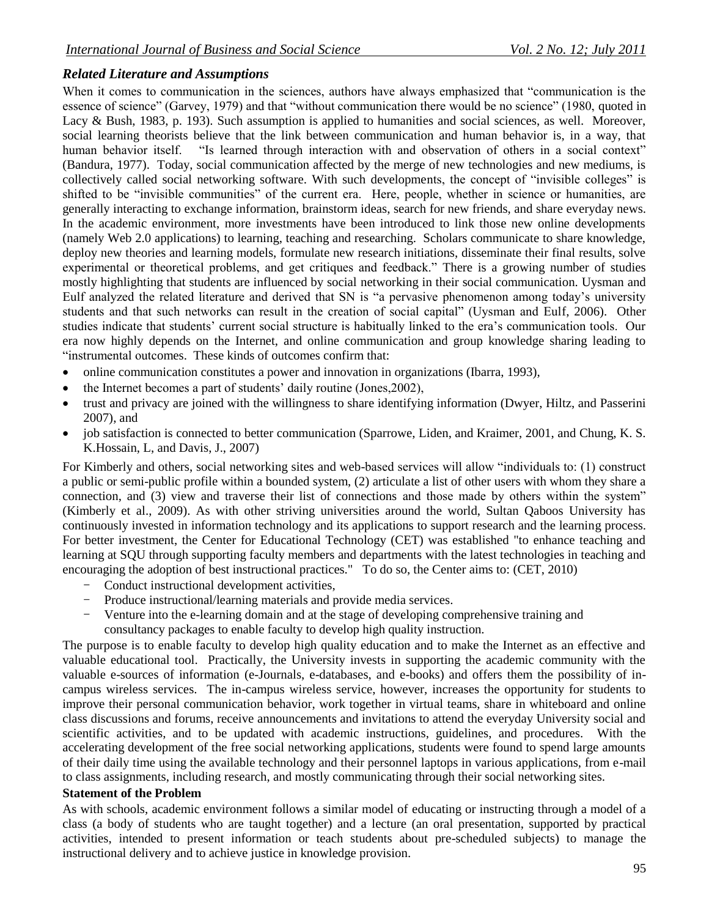# *Related Literature and Assumptions*

When it comes to communication in the sciences, authors have always emphasized that "communication is the essence of science" (Garvey, 1979) and that "without communication there would be no science" (1980, quoted in Lacy & Bush, 1983, p. 193). Such assumption is applied to humanities and social sciences, as well. Moreover, social learning theorists believe that the link between communication and human behavior is, in a way, that human behavior itself. "Is learned through interaction with and observation of others in a social context" (Bandura, 1977). Today, social communication affected by the merge of new technologies and new mediums, is collectively called social networking software. With such developments, the concept of "invisible colleges" is shifted to be "invisible communities" of the current era. Here, people, whether in science or humanities, are generally interacting to exchange information, brainstorm ideas, search for new friends, and share everyday news. In the academic environment, more investments have been introduced to link those new online developments (namely Web 2.0 applications) to learning, teaching and researching. Scholars communicate to share knowledge, deploy new theories and learning models, formulate new research initiations, disseminate their final results, solve experimental or theoretical problems, and get critiques and feedback." There is a growing number of studies mostly highlighting that students are influenced by social networking in their social communication. Uysman and Eulf analyzed the related literature and derived that SN is "a pervasive phenomenon among today's university students and that such networks can result in the creation of social capital" (Uysman and Eulf, 2006). Other studies indicate that students' current social structure is habitually linked to the era's communication tools. Our era now highly depends on the Internet, and online communication and group knowledge sharing leading to "instrumental outcomes. These kinds of outcomes confirm that:

- online communication constitutes a power and innovation in organizations (Ibarra, 1993),
- the Internet becomes a part of students' daily routine (Jones,2002),
- trust and privacy are joined with the willingness to share identifying information (Dwyer, Hiltz, and Passerini 2007), and
- job satisfaction is connected to better communication (Sparrowe, Liden, and Kraimer, 2001, and Chung, K. S. K.Hossain, L, and Davis, J., 2007)

For Kimberly and others, social networking sites and web-based services will allow "individuals to: (1) construct a public or semi-public profile within a bounded system, (2) articulate a list of other users with whom they share a connection, and (3) view and traverse their list of connections and those made by others within the system" (Kimberly et al., 2009). As with other striving universities around the world, Sultan Qaboos University has continuously invested in information technology and its applications to support research and the learning process. For better investment, the Center for Educational Technology (CET) was established "to enhance teaching and learning at SQU through supporting faculty members and departments with the latest technologies in teaching and encouraging the adoption of best instructional practices." To do so, the Center aims to: (CET, 2010)

- Conduct instructional development activities,
- Produce instructional/learning materials and provide media services.
- Venture into the e-learning domain and at the stage of developing comprehensive training and consultancy packages to enable faculty to develop high quality instruction.

The purpose is to enable faculty to develop high quality education and to make the Internet as an effective and valuable educational tool. Practically, the University invests in supporting the academic community with the valuable e-sources of information (e-Journals, e-databases, and e-books) and offers them the possibility of incampus wireless services. The in-campus wireless service, however, increases the opportunity for students to improve their personal communication behavior, work together in virtual teams, share in whiteboard and online class discussions and forums, receive announcements and invitations to attend the everyday University social and scientific activities, and to be updated with academic instructions, guidelines, and procedures. With the accelerating development of the free social networking applications, students were found to spend large amounts of their daily time using the available technology and their personnel laptops in various applications, from e-mail to class assignments, including research, and mostly communicating through their social networking sites.

#### **Statement of the Problem**

As with schools, academic environment follows a similar model of educating or instructing through a model of a class (a body of students who are taught together) and a lecture (an oral presentation, supported by practical activities, intended to present information or teach students about pre-scheduled subjects) to manage the instructional delivery and to achieve justice in knowledge provision.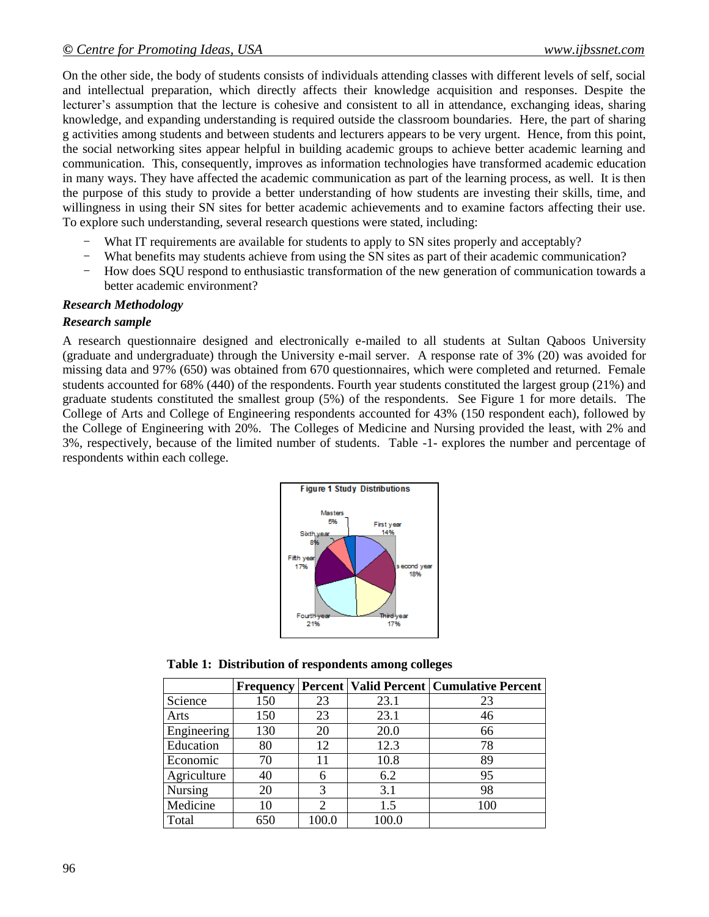On the other side, the body of students consists of individuals attending classes with different levels of self, social and intellectual preparation, which directly affects their knowledge acquisition and responses. Despite the lecturer's assumption that the lecture is cohesive and consistent to all in attendance, exchanging ideas, sharing knowledge, and expanding understanding is required outside the classroom boundaries. Here, the part of sharing g activities among students and between students and lecturers appears to be very urgent. Hence, from this point, the social networking sites appear helpful in building academic groups to achieve better academic learning and communication. This, consequently, improves as information technologies have transformed academic education in many ways. They have affected the academic communication as part of the learning process, as well. It is then the purpose of this study to provide a better understanding of how students are investing their skills, time, and willingness in using their SN sites for better academic achievements and to examine factors affecting their use. To explore such understanding, several research questions were stated, including:

- What IT requirements are available for students to apply to SN sites properly and acceptably?
- What benefits may students achieve from using the SN sites as part of their academic communication?
- How does SQU respond to enthusiastic transformation of the new generation of communication towards a better academic environment?

### *Research Methodology*

#### *Research sample*

A research questionnaire designed and electronically e-mailed to all students at Sultan Qaboos University (graduate and undergraduate) through the University e-mail server. A response rate of 3% (20) was avoided for missing data and 97% (650) was obtained from 670 questionnaires, which were completed and returned. Female students accounted for 68% (440) of the respondents. Fourth year students constituted the largest group (21%) and graduate students constituted the smallest group (5%) of the respondents. See Figure 1 for more details. The College of Arts and College of Engineering respondents accounted for 43% (150 respondent each), followed by the College of Engineering with 20%. The Colleges of Medicine and Nursing provided the least, with 2% and 3%, respectively, because of the limited number of students. Table -1- explores the number and percentage of respondents within each college.



**Table 1: Distribution of respondents among colleges**

|             | <b>Frequency</b> |                             |       | <b>Percent   Valid Percent   Cumulative Percent</b> |
|-------------|------------------|-----------------------------|-------|-----------------------------------------------------|
| Science     | 150              | 23                          | 23.1  | 23                                                  |
| Arts        | 150              | 23                          | 23.1  | 46                                                  |
| Engineering | 130              | 20                          | 20.0  | 66                                                  |
| Education   | 80               | 12                          | 12.3  | 78                                                  |
| Economic    | 70               | 11                          | 10.8  | 89                                                  |
| Agriculture | 40               | 6                           | 6.2   | 95                                                  |
| Nursing     | 20               | 3                           | 3.1   | 98                                                  |
| Medicine    | 10               | $\mathcal{D}_{\mathcal{L}}$ | 1.5   | 100                                                 |
| Total       | 650              | 100.0                       | 100.0 |                                                     |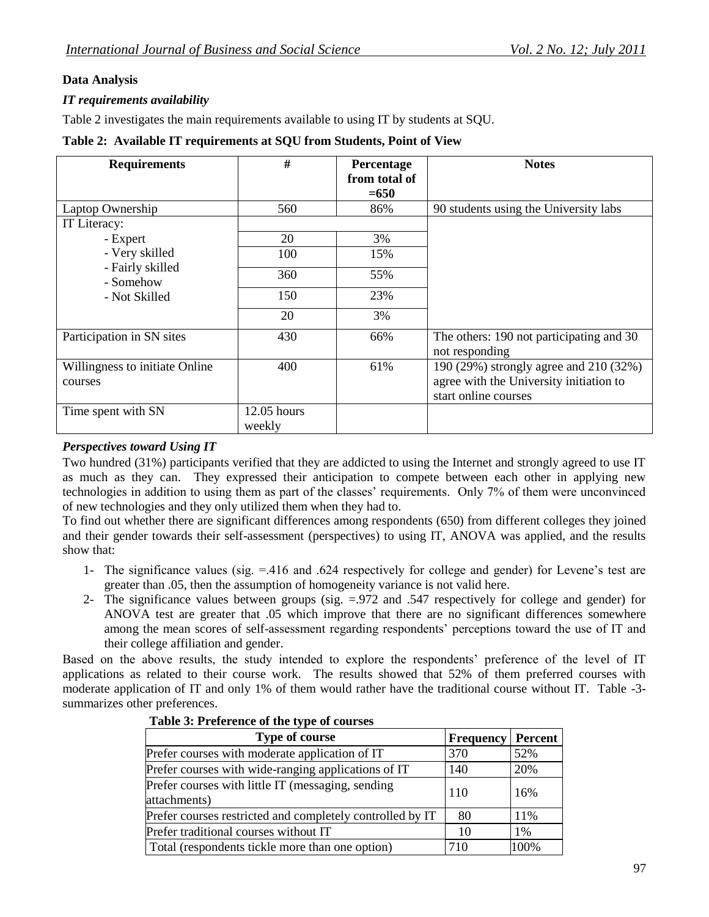# **Data Analysis**

# *IT requirements availability*

Table 2 investigates the main requirements available to using IT by students at SQU.

#### **Table 2: Available IT requirements at SQU from Students, Point of View**

| <b>Requirements</b>            | #             | Percentage    | <b>Notes</b>                             |
|--------------------------------|---------------|---------------|------------------------------------------|
|                                |               | from total of |                                          |
|                                |               | $= 650$       |                                          |
| Laptop Ownership               | 560           | 86%           | 90 students using the University labs    |
| IT Literacy:                   |               |               |                                          |
| - Expert                       | 20            | 3%            |                                          |
| - Very skilled                 | 100           | 15%           |                                          |
| - Fairly skilled<br>- Somehow  | 360           | 55%           |                                          |
| - Not Skilled                  | 150           | 23%           |                                          |
|                                | 20            | 3%            |                                          |
| Participation in SN sites      | 430           | 66%           | The others: 190 not participating and 30 |
|                                |               |               | not responding                           |
| Willingness to initiate Online | 400           | 61%           | 190 (29%) strongly agree and 210 (32%)   |
| courses                        |               |               | agree with the University initiation to  |
|                                |               |               | start online courses                     |
| Time spent with SN             | $12.05$ hours |               |                                          |
|                                | weekly        |               |                                          |

### *Perspectives toward Using IT*

Two hundred (31%) participants verified that they are addicted to using the Internet and strongly agreed to use IT as much as they can. They expressed their anticipation to compete between each other in applying new technologies in addition to using them as part of the classes' requirements. Only 7% of them were unconvinced of new technologies and they only utilized them when they had to.

To find out whether there are significant differences among respondents (650) from different colleges they joined and their gender towards their self-assessment (perspectives) to using IT, ANOVA was applied, and the results show that:

- 1- The significance values (sig. =.416 and .624 respectively for college and gender) for Levene's test are greater than .05, then the assumption of homogeneity variance is not valid here.
- 2- The significance values between groups (sig. =.972 and .547 respectively for college and gender) for ANOVA test are greater that .05 which improve that there are no significant differences somewhere among the mean scores of self-assessment regarding respondents' perceptions toward the use of IT and their college affiliation and gender.

Based on the above results, the study intended to explore the respondents' preference of the level of IT applications as related to their course work. The results showed that 52% of them preferred courses with moderate application of IT and only 1% of them would rather have the traditional course without IT. Table -3 summarizes other preferences.

| <b>Type of course</b>                                             | <b>Frequency</b> | Percent |
|-------------------------------------------------------------------|------------------|---------|
| Prefer courses with moderate application of IT                    | 370              | 52%     |
| Prefer courses with wide-ranging applications of IT               | 140              | 20%     |
| Prefer courses with little IT (messaging, sending<br>attachments) | 110              | 16%     |
| Prefer courses restricted and completely controlled by IT         | 80               | 11%     |
| Prefer traditional courses without IT                             | 10               | $1\%$   |
| Total (respondents tickle more than one option)                   | 710              | 100%    |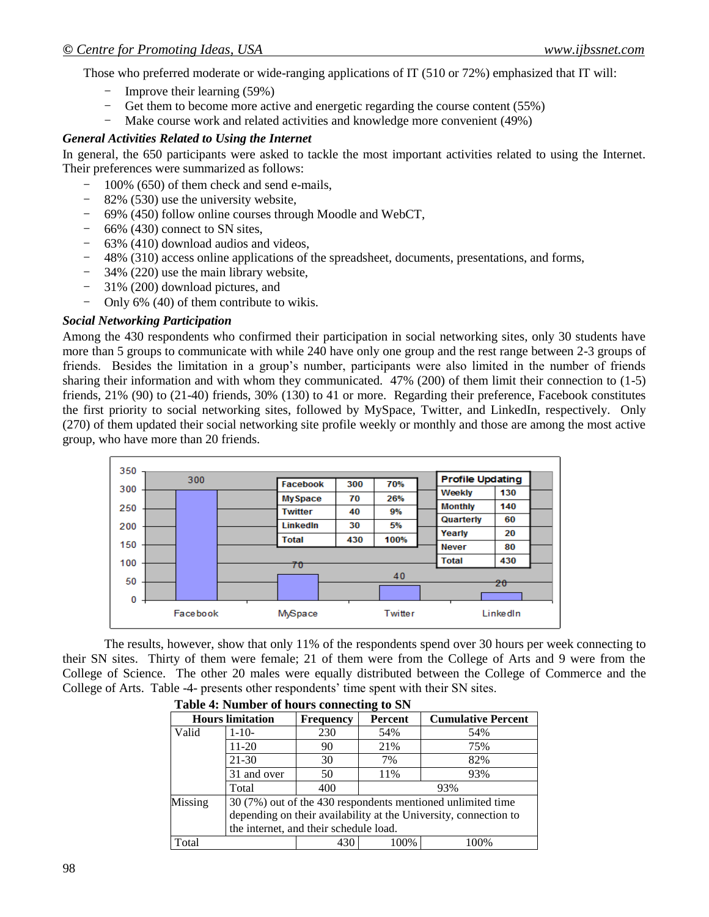Those who preferred moderate or wide-ranging applications of IT (510 or 72%) emphasized that IT will:

- Improve their learning (59%)
- Get them to become more active and energetic regarding the course content (55%) Make course work and related activities and knowledge more convenient (49%)
- Make course work and related activities and knowledge more convenient (49%)

#### *General Activities Related to Using the Internet*

In general, the 650 participants were asked to tackle the most important activities related to using the Internet. Their preferences were summarized as follows:

- 100% (650) of them check and send e-mails,
- 82% (530) use the university website,
- 69% (450) follow online courses through Moodle and WebCT,
- 66% (430) connect to SN sites,
- 63% (410) download audios and videos,
- 48% (310) access online applications of the spreadsheet, documents, presentations, and forms,
- 34% (220) use the main library website,
- 31% (200) download pictures, and
- Only 6% (40) of them contribute to wikis.

#### *Social Networking Participation*

Among the 430 respondents who confirmed their participation in social networking sites, only 30 students have more than 5 groups to communicate with while 240 have only one group and the rest range between 2-3 groups of friends. Besides the limitation in a group's number, participants were also limited in the number of friends sharing their information and with whom they communicated. 47% (200) of them limit their connection to (1-5) friends, 21% (90) to (21-40) friends, 30% (130) to 41 or more. Regarding their preference, Facebook constitutes the first priority to social networking sites, followed by MySpace, Twitter, and LinkedIn, respectively. Only (270) of them updated their social networking site profile weekly or monthly and those are among the most active group, who have more than 20 friends.



The results, however, show that only 11% of the respondents spend over 30 hours per week connecting to their SN sites. Thirty of them were female; 21 of them were from the College of Arts and 9 were from the College of Science. The other 20 males were equally distributed between the College of Commerce and the College of Arts. Table -4- presents other respondents' time spent with their SN sites.

| Table 4: Number of hours connecting to SN |                                                                  |                                                             |                |                           |  |  |
|-------------------------------------------|------------------------------------------------------------------|-------------------------------------------------------------|----------------|---------------------------|--|--|
| <b>Hours limitation</b>                   |                                                                  | <b>Frequency</b>                                            | <b>Percent</b> | <b>Cumulative Percent</b> |  |  |
| Valid                                     | $1 - 10 -$                                                       | 230                                                         | 54%            | 54%                       |  |  |
|                                           | $11 - 20$                                                        | 90                                                          | 21%            | 75%                       |  |  |
|                                           | 21-30                                                            | 30                                                          | 7%             | 82%                       |  |  |
|                                           | 31 and over                                                      | 50                                                          | 11%            | 93%                       |  |  |
|                                           | Total                                                            | 400                                                         |                | 93%                       |  |  |
| Missing                                   |                                                                  | 30 (7%) out of the 430 respondents mentioned unlimited time |                |                           |  |  |
|                                           | depending on their availability at the University, connection to |                                                             |                |                           |  |  |
|                                           | the internet, and their schedule load.                           |                                                             |                |                           |  |  |
| Total                                     |                                                                  | 430                                                         | 100%           | 100%                      |  |  |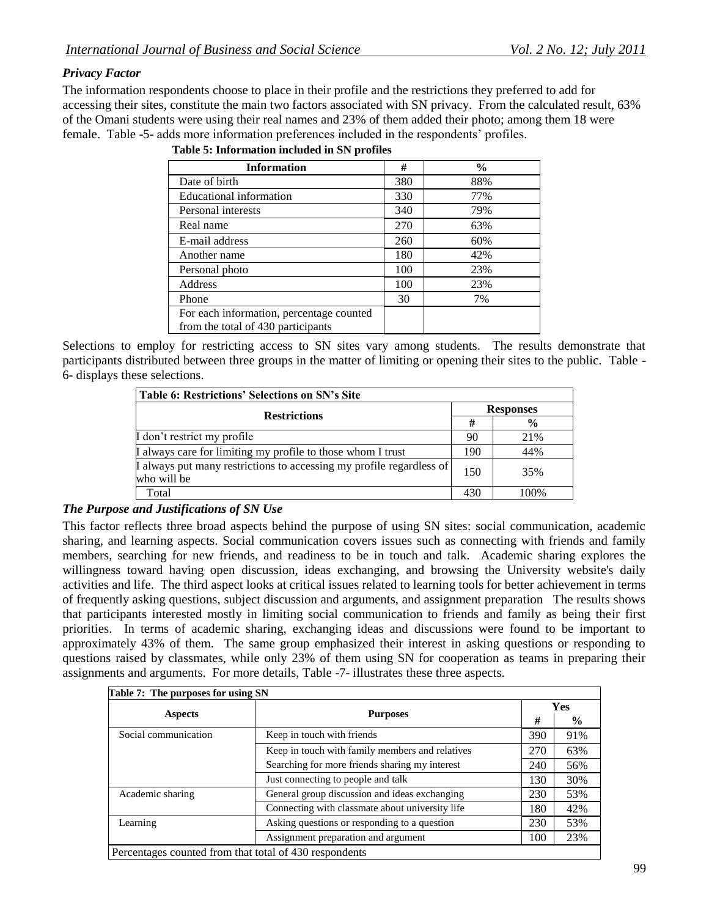## *Privacy Factor*

The information respondents choose to place in their profile and the restrictions they preferred to add for accessing their sites, constitute the main two factors associated with SN privacy. From the calculated result, 63% of the Omani students were using their real names and 23% of them added their photo; among them 18 were female. Table -5- adds more information preferences included in the respondents' profiles.

| <b>Information</b>                       | #   | $\frac{6}{9}$ |
|------------------------------------------|-----|---------------|
| Date of birth                            | 380 | 88%           |
| Educational information                  | 330 | 77%           |
| Personal interests                       | 340 | 79%           |
| Real name                                | 270 | 63%           |
| E-mail address                           | 260 | 60%           |
| Another name                             | 180 | 42%           |
| Personal photo                           | 100 | 23%           |
| Address                                  | 100 | 23%           |
| Phone                                    | 30  | 7%            |
| For each information, percentage counted |     |               |
| from the total of 430 participants       |     |               |

**Table 5: Information included in SN profiles**

Selections to employ for restricting access to SN sites vary among students. The results demonstrate that participants distributed between three groups in the matter of limiting or opening their sites to the public. Table - 6- displays these selections.

| <b>Table 6: Restrictions' Selections on SN's Site</b>                               |                  |               |  |
|-------------------------------------------------------------------------------------|------------------|---------------|--|
|                                                                                     | <b>Responses</b> |               |  |
| <b>Restrictions</b>                                                                 |                  | $\frac{0}{0}$ |  |
| I don't restrict my profile                                                         | 90               | 21%           |  |
| I always care for limiting my profile to those whom I trust                         | 190              | 44%           |  |
| I always put many restrictions to accessing my profile regardless of<br>who will be | 150              | 35%           |  |
| Total                                                                               | 430              | 100%          |  |

### *The Purpose and Justifications of SN Use*

This factor reflects three broad aspects behind the purpose of using SN sites: social communication, academic sharing, and learning aspects. Social communication covers issues such as connecting with friends and family members, searching for new friends, and readiness to be in touch and talk. Academic sharing explores the willingness toward having open discussion, ideas exchanging, and browsing the University website's daily activities and life. The third aspect looks at critical issues related to learning tools for better achievement in terms of frequently asking questions, subject discussion and arguments, and assignment preparation The results shows that participants interested mostly in limiting social communication to friends and family as being their first priorities. In terms of academic sharing, exchanging ideas and discussions were found to be important to approximately 43% of them. The same group emphasized their interest in asking questions or responding to questions raised by classmates, while only 23% of them using SN for cooperation as teams in preparing their assignments and arguments. For more details, Table -7- illustrates these three aspects.

| Table 7: The purposes for using SN                     |                                                 |     |               |  |  |
|--------------------------------------------------------|-------------------------------------------------|-----|---------------|--|--|
|                                                        | <b>Purposes</b>                                 |     | Yes           |  |  |
| <b>Aspects</b>                                         |                                                 |     | $\frac{6}{9}$ |  |  |
| Social communication                                   | Keep in touch with friends                      | 390 | 91%           |  |  |
|                                                        | Keep in touch with family members and relatives | 270 | 63%           |  |  |
|                                                        | Searching for more friends sharing my interest  | 240 | 56%           |  |  |
|                                                        | Just connecting to people and talk              | 130 | 30%           |  |  |
| Academic sharing                                       | General group discussion and ideas exchanging   | 230 | 53%           |  |  |
|                                                        | Connecting with classmate about university life | 180 | 42%           |  |  |
| Learning                                               | Asking questions or responding to a question    | 230 | 53%           |  |  |
|                                                        | Assignment preparation and argument             | 100 | 23%           |  |  |
| Percentages counted from that total of 430 respondents |                                                 |     |               |  |  |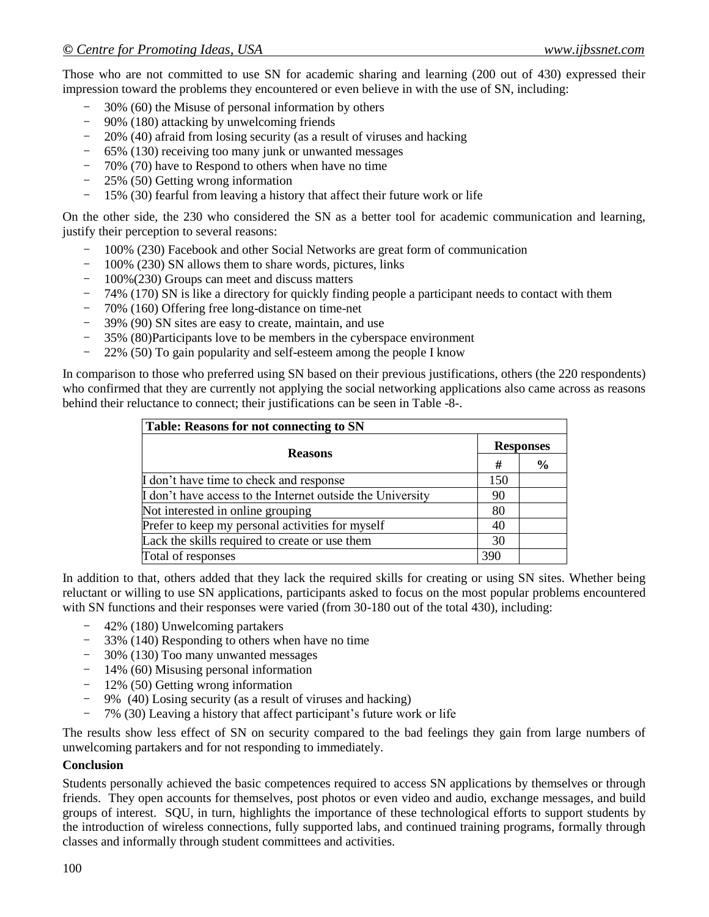Those who are not committed to use SN for academic sharing and learning (200 out of 430) expressed their impression toward the problems they encountered or even believe in with the use of SN, including:

- 30% (60) the Misuse of personal information by others
- 90% (180) attacking by unwelcoming friends
- 20% (40) afraid from losing security (as a result of viruses and hacking
- 65% (130) receiving too many junk or unwanted messages
- 70% (70) have to Respond to others when have no time
- 25% (50) Getting wrong information
- 15% (30) fearful from leaving a history that affect their future work or life

On the other side, the 230 who considered the SN as a better tool for academic communication and learning, justify their perception to several reasons:

- 100% (230) Facebook and other Social Networks are great form of communication
- 100% (230) SN allows them to share words, pictures, links
- 100%(230) Groups can meet and discuss matters
- 74% (170) SN is like a directory for quickly finding people a participant needs to contact with them
- 70% (160) Offering free long-distance on time-net
- 39% (90) SN sites are easy to create, maintain, and use
- $-$  35% (80)Participants love to be members in the cyberspace environment  $-$  22% (50) To vain popularity and self-esteem among the people I know
- 22% (50) To gain popularity and self-esteem among the people I know

In comparison to those who preferred using SN based on their previous justifications, others (the 220 respondents) who confirmed that they are currently not applying the social networking applications also came across as reasons behind their reluctance to connect; their justifications can be seen in Table -8-.

| <b>Table: Reasons for not connecting to SN</b>             |                  |               |  |
|------------------------------------------------------------|------------------|---------------|--|
| <b>Reasons</b>                                             | <b>Responses</b> |               |  |
|                                                            | #                | $\frac{6}{6}$ |  |
| I don't have time to check and response                    | 150              |               |  |
| I don't have access to the Internet outside the University | 90               |               |  |
| Not interested in online grouping                          | 80               |               |  |
| Prefer to keep my personal activities for myself           | 40               |               |  |
| Lack the skills required to create or use them             | 30               |               |  |
| Total of responses                                         | 390              |               |  |

In addition to that, others added that they lack the required skills for creating or using SN sites. Whether being reluctant or willing to use SN applications, participants asked to focus on the most popular problems encountered with SN functions and their responses were varied (from 30-180 out of the total 430), including:

- 42% (180) Unwelcoming partakers
- 33% (140) Responding to others when have no time
- 30% (130) Too many unwanted messages
- 14% (60) Misusing personal information
- 12% (50) Getting wrong information
- 9% (40) Losing security (as a result of viruses and hacking)
- 7% (30) Leaving a history that affect participant's future work or life

The results show less effect of SN on security compared to the bad feelings they gain from large numbers of unwelcoming partakers and for not responding to immediately.

#### **Conclusion**

Students personally achieved the basic competences required to access SN applications by themselves or through friends. They open accounts for themselves, post photos or even video and audio, exchange messages, and build groups of interest. SQU, in turn, highlights the importance of these technological efforts to support students by the introduction of wireless connections, fully supported labs, and continued training programs, formally through classes and informally through student committees and activities.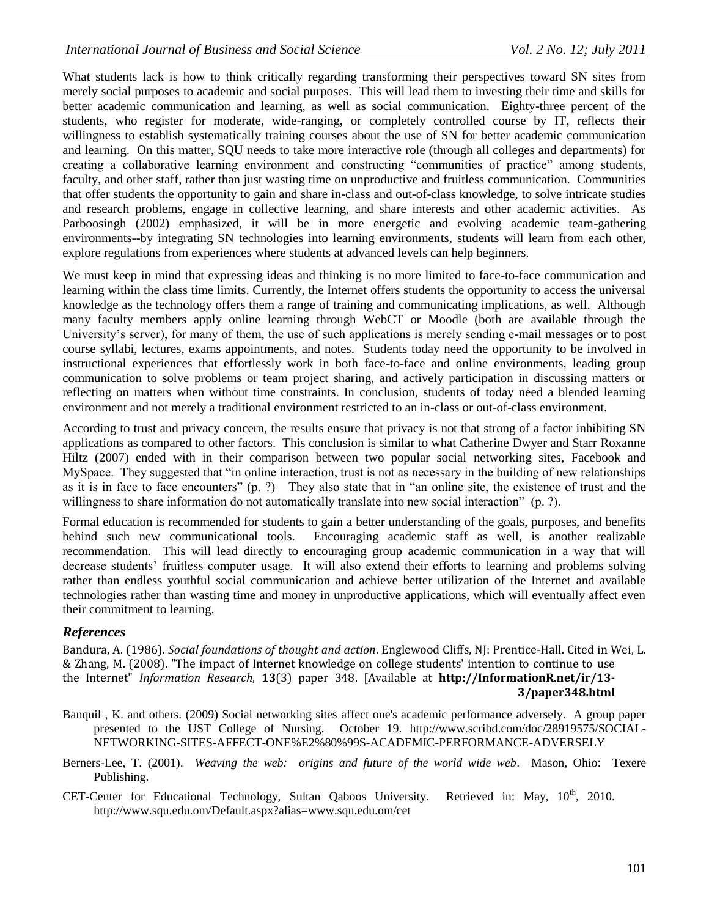What students lack is how to think critically regarding transforming their perspectives toward SN sites from merely social purposes to academic and social purposes. This will lead them to investing their time and skills for better academic communication and learning, as well as social communication. Eighty-three percent of the students, who register for moderate, wide-ranging, or completely controlled course by IT, reflects their willingness to establish systematically training courses about the use of SN for better academic communication and learning. On this matter, SQU needs to take more interactive role (through all colleges and departments) for creating a collaborative learning environment and constructing "communities of practice" among students, faculty, and other staff, rather than just wasting time on unproductive and fruitless communication. Communities that offer students the opportunity to gain and share in-class and out-of-class knowledge, to solve intricate studies and research problems, engage in collective learning, and share interests and other academic activities. As Parboosingh (2002) emphasized, it will be in more energetic and evolving academic team-gathering environments--by integrating SN technologies into learning environments, students will learn from each other, explore regulations from experiences where students at advanced levels can help beginners.

We must keep in mind that expressing ideas and thinking is no more limited to face-to-face communication and learning within the class time limits. Currently, the Internet offers students the opportunity to access the universal knowledge as the technology offers them a range of training and communicating implications, as well. Although many faculty members apply online learning through WebCT or Moodle (both are available through the University's server), for many of them, the use of such applications is merely sending e-mail messages or to post course syllabi, lectures, exams appointments, and notes. Students today need the opportunity to be involved in instructional experiences that effortlessly work in both face-to-face and online environments, leading group communication to solve problems or team project sharing, and actively participation in discussing matters or reflecting on matters when without time constraints. In conclusion, students of today need a blended learning environment and not merely a traditional environment restricted to an in-class or out-of-class environment.

According to trust and privacy concern, the results ensure that privacy is not that strong of a factor inhibiting SN applications as compared to other factors. This conclusion is similar to what Catherine Dwyer and Starr Roxanne Hiltz (2007) ended with in their comparison between two popular social networking sites, Facebook and MySpace. They suggested that "in online interaction, trust is not as necessary in the building of new relationships as it is in face to face encounters" (p. ?) They also state that in "an online site, the existence of trust and the willingness to share information do not automatically translate into new social interaction" (p. ?).

Formal education is recommended for students to gain a better understanding of the goals, purposes, and benefits behind such new communicational tools. Encouraging academic staff as well, is another realizable recommendation. This will lead directly to encouraging group academic communication in a way that will decrease students' fruitless computer usage. It will also extend their efforts to learning and problems solving rather than endless youthful social communication and achieve better utilization of the Internet and available technologies rather than wasting time and money in unproductive applications, which will eventually affect even their commitment to learning.

### *References*

Bandura, A. (1986). *Social foundations of thought and action*. Englewood Cliffs, NJ: Prentice-Hall. Cited in Wei, L. & Zhang, M. (2008). "The impact of Internet knowledge on college students' intention to continue to use the Internet" *Information Research*, **13**(3) paper 348. [Available at **[http://InformationR.net/ir/13-](http://informationr.net/ir/13-3/paper348.html) [3/paper348.html](http://informationr.net/ir/13-3/paper348.html)**

- Banquil , K. and others. (2009) Social networking sites affect one's academic performance adversely. A group paper presented to the UST College of Nursing. October 19. [http://www.scribd.com/doc/28919575/SOCIAL-](http://www.scribd.com/doc/28919575/SOCIAL-NETWORKING-SITES-AFFECT-ONE%E2%80%99S-ACADEMIC-PERFORMANCE-ADVERSELY)[NETWORKING-SITES-AFFECT-ONE%E2%80%99S-ACADEMIC-PERFORMANCE-ADVERSELY](http://www.scribd.com/doc/28919575/SOCIAL-NETWORKING-SITES-AFFECT-ONE%E2%80%99S-ACADEMIC-PERFORMANCE-ADVERSELY)
- Berners-Lee, T. (2001). *Weaving the web: origins and future of the world wide web*. Mason, Ohio: Texere Publishing.
- CET-Center for Educational Technology, Sultan Qaboos University. Retrieved in: May, 10<sup>th</sup>, 2010. <http://www.squ.edu.om/Default.aspx?alias=www.squ.edu.om/cet>